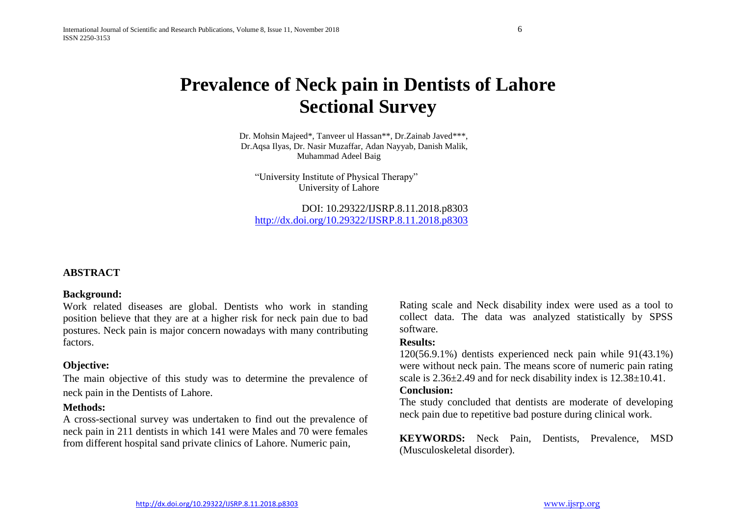# **Prevalence of Neck pain in Dentists of Lahore Sectional Survey**

Dr. Mohsin Majeed\*, Tanveer ul Hassan\*\*, Dr.Zainab Javed\*\*\*, Dr.Aqsa Ilyas, Dr. Nasir Muzaffar, Adan Nayyab, Danish Malik, Muhammad Adeel Baig

"University Institute of Physical Therapy" University of Lahore

DOI: 10.29322/IJSRP.8.11.2018.p8303 <http://dx.doi.org/10.29322/IJSRP.8.11.2018.p8303>

### **ABSTRACT**

### **Background:**

Work related diseases are global. Dentists who work in standing position believe that they are at a higher risk for neck pain due to bad postures. Neck pain is major concern nowadays with many contributing factors.

### **Objective:**

The main objective of this study was to determine the prevalence of neck pain in the Dentists of Lahore.

### **Methods:**

A cross-sectional survey was undertaken to find out the prevalence of neck pain in 211 dentists in which 141 were Males and 70 were females from different hospital sand private clinics of Lahore. Numeric pain,

Rating scale and Neck disability index were used as a tool to collect data. The data was analyzed statistically by SPSS software.

### **Results:**

120(56.9.1%) dentists experienced neck pain while 91(43.1%) were without neck pain. The means score of numeric pain rating scale is  $2.36\pm2.49$  and for neck disability index is  $12.38\pm10.41$ .

### **Conclusion:**

The study concluded that dentists are moderate of developing neck pain due to repetitive bad posture during clinical work.

**KEYWORDS:** Neck Pain, Dentists, Prevalence, MSD (Musculoskeletal disorder).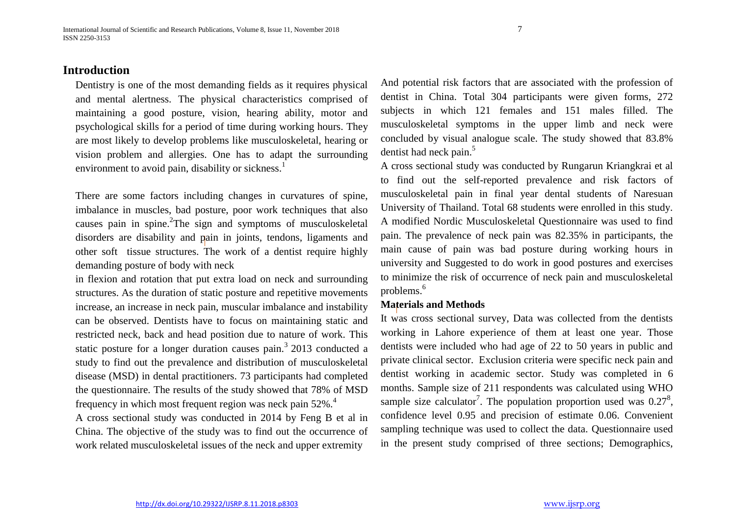### **Introduction**

Dentistry is one of the most demanding fields as it requires physical and mental alertness. The physical characteristics comprised of maintaining a good posture, vision, hearing ability, motor and psychological skills for a period of time during working hours. They are most likely to develop problems like musculoskeletal, hearing or vision problem and allergies. One has to adapt the surrounding environment to avoid pain, disability or sickness.<sup>1</sup>

There are some factors including changes in curvatures of spine, imbalance in muscles, bad posture, poor work techniques that also causes pain in spine. <sup>2</sup>The sign and symptoms of musculoskeletal disorders are disability and pain in joints, tendons, ligaments and other soft tissue structures. The work of a dentist require highly demanding posture of body with neck

in flexion and rotation that put extra load on neck and surrounding structures. As the duration of static posture and repetitive movements increase, an increase in neck pain, muscular imbalance and instability can be observed. Dentists have to focus on maintaining static and restricted neck, back and head position due to nature of work. This static posture for a longer duration causes pain.<sup>3</sup> 2013 conducted a study to find out the prevalence and distribution of musculoskeletal disease (MSD) in dental practitioners. 73 participants had completed the questionnaire. The results of the study showed that 78% of MSD frequency in which most frequent region was neck pain 52%.<sup>4</sup>

A cross sectional study was conducted in 2014 by Feng B et al in China. The objective of the study was to find out the occurrence of work related musculoskeletal issues of the neck and upper extremity

And potential risk factors that are associated with the profession of dentist in China. Total 304 participants were given forms, 272 subjects in which 121 females and 151 males filled. The musculoskeletal symptoms in the upper limb and neck were concluded by visual analogue scale. The study showed that 83.8% dentist had neck pain.<sup>5</sup>

A cross sectional study was conducted by Rungarun Kriangkrai et al to find out the self-reported prevalence and risk factors of musculoskeletal pain in final year dental students of Naresuan University of Thailand. Total 68 students were enrolled in this study. A modified Nordic Musculoskeletal Questionnaire was used to find pain. The prevalence of neck pain was 82.35% in participants, the main cause of pain was bad posture during working hours in university and Suggested to do work in good postures and exercises to minimize the risk of occurrence of neck pain and musculoskeletal problems.<sup>6</sup>

### **Materials and Methods**

It was cross sectional survey, Data was collected from the dentists working in Lahore experience of them at least one year. Those dentists were included who had age of 22 to 50 years in public and private clinical sector. Exclusion criteria were specific neck pain and dentist working in academic sector. Study was completed in 6 months. Sample size of 211 respondents was calculated using WHO sample size calculator<sup>7</sup>. The population proportion used was  $0.27^8$ , confidence level 0.95 and precision of estimate 0.06. Convenient sampling technique was used to collect the data. Questionnaire used in the present study comprised of three sections; Demographics,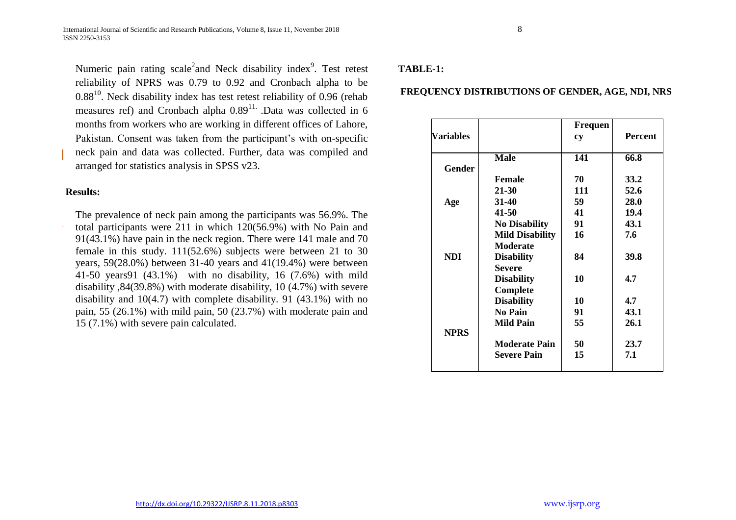Numeric pain rating scale<sup>2</sup>and Neck disability index<sup>9</sup>. Test retest reliability of NPRS was 0.79 to 0.92 and Cronbach alpha to be  $0.88^{10}$ . Neck disability index has test retest reliability of 0.96 (rehab measures ref) and Cronbach alpha  $0.89<sup>11</sup>$ . Data was collected in 6 months from workers who are working in different offices of Lahore, Pakistan. Consent was taken from the participant's with on-specific neck pain and data was collected. Further, data was compiled and arranged for statistics analysis in SPSS v23.

### **Results:**

The prevalence of neck pain among the participants was 56.9%. The total participants were 211 in which 120(56.9%) with No Pain and 91(43.1%) have pain in the neck region. There were 141 male and 70 female in this study. 111(52.6%) subjects were between 21 to 30 years, 59(28.0%) between 31-40 years and 41(19.4%) were between 41-50 years91 (43.1%) with no disability, 16 (7.6%) with mild disability ,84(39.8%) with moderate disability, 10 (4.7%) with severe disability and 10(4.7) with complete disability. 91 (43.1%) with no pain, 55 (26.1%) with mild pain, 50 (23.7%) with moderate pain and 15 (7.1%) with severe pain calculated.

### **TABLE-1:**

### **FREQUENCY DISTRIBUTIONS OF GENDER, AGE, NDI, NRS**

| Variables   |                        | Frequen<br>cy | <b>Percent</b> |
|-------------|------------------------|---------------|----------------|
| Gender      | <b>Male</b>            | 141           | 66.8           |
|             | <b>Female</b>          | 70            | 33.2           |
|             | 21-30                  | 111           | 52.6           |
| Age         | 31-40                  | 59            | 28.0           |
|             | 41-50                  | 41            | 19.4           |
|             | <b>No Disability</b>   | 91            | 43.1           |
|             | <b>Mild Disability</b> | 16            | 7.6            |
|             | <b>Moderate</b>        |               |                |
| NDI.        | <b>Disability</b>      | 84            | 39.8           |
|             | <b>Severe</b>          |               |                |
|             | <b>Disability</b>      | 10            | 4.7            |
|             | Complete               |               |                |
|             | <b>Disability</b>      | 10            | 4.7            |
|             | <b>No Pain</b>         | 91            | 43.1           |
|             | <b>Mild Pain</b>       | 55            | 26.1           |
| <b>NPRS</b> |                        |               |                |
|             | <b>Moderate Pain</b>   | 50            | 23.7           |
|             | <b>Severe Pain</b>     | 15            | 7.1            |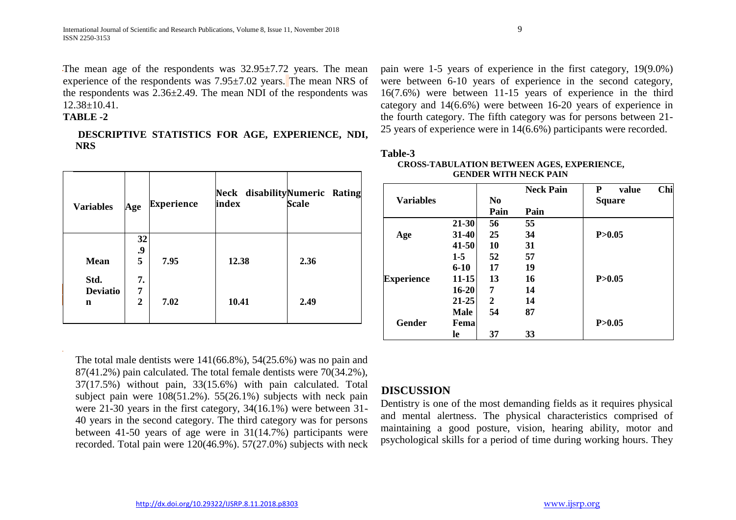The mean age of the respondents was 32.95±7.72 years. The mean experience of the respondents was 7.95±7.02 years. The mean NRS of the respondents was 2.36±2.49. The mean NDI of the respondents was 12.38±10.41.

### **TABLE -2**

**DESCRIPTIVE STATISTICS FOR AGE, EXPERIENCE, NDI, NRS**

| <b>Variables</b>             | Age                       | <b>Experience</b> | index | Neck disabilityNumeric Rating<br><b>Scale</b> |
|------------------------------|---------------------------|-------------------|-------|-----------------------------------------------|
| <b>Mean</b>                  | 32<br>.9<br>5             | 7.95              | 12.38 | 2.36                                          |
| Std.<br><b>Deviatio</b><br>n | 7.<br>7<br>$\overline{2}$ | 7.02              | 10.41 | 2.49                                          |

pain were 1-5 years of experience in the first category, 19(9.0%) were between 6-10 years of experience in the second category, 16(7.6%) were between 11-15 years of experience in the third category and 14(6.6%) were between 16-20 years of experience in the fourth category. The fifth category was for persons between 21- 25 years of experience were in 14(6.6%) participants were recorded.

### **Table-3**

| <b>CROSS-TABULATION BETWEEN AGES, EXPERIENCE,</b> |  |  |  |  |
|---------------------------------------------------|--|--|--|--|
| <b>GENDER WITH NECK PAIN</b>                      |  |  |  |  |

|                   |             |                | <b>Neck Pain</b> | Chi<br>P<br>value |
|-------------------|-------------|----------------|------------------|-------------------|
| <b>Variables</b>  |             | N <sub>0</sub> |                  | <b>Square</b>     |
|                   |             | Pain           | Pain             |                   |
|                   | $21 - 30$   | 56             | 55               |                   |
| Age               | $31 - 40$   | 25             | 34               | P > 0.05          |
|                   | $41 - 50$   | 10             | 31               |                   |
|                   | $1-5$       | 52             | 57               |                   |
|                   | $6 - 10$    | 17             | 19               |                   |
| <b>Experience</b> | 11-15       | 13             | 16               | P > 0.05          |
|                   | $16 - 20$   | 7              | 14               |                   |
|                   | $21 - 25$   | 2              | 14               |                   |
|                   | <b>Male</b> | 54             | 87               |                   |
| <b>Gender</b>     | Fema        |                |                  | P > 0.05          |
|                   | le          | 37             | 33               |                   |

The total male dentists were 141(66.8%), 54(25.6%) was no pain and 87(41.2%) pain calculated. The total female dentists were 70(34.2%), 37(17.5%) without pain, 33(15.6%) with pain calculated. Total subject pain were 108(51.2%). 55(26.1%) subjects with neck pain were 21-30 years in the first category, 34(16.1%) were between 31- 40 years in the second category. The third category was for persons between 41-50 years of age were in 31(14.7%) participants were recorded. Total pain were 120(46.9%). 57(27.0%) subjects with neck

### **DISCUSSION**

Dentistry is one of the most demanding fields as it requires physical and mental alertness. The physical characteristics comprised of maintaining a good posture, vision, hearing ability, motor and psychological skills for a period of time during working hours. They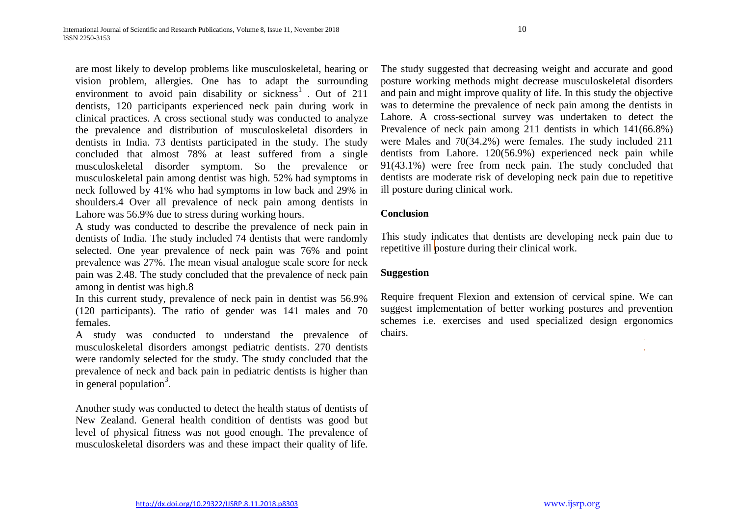are most likely to develop problems like musculoskeletal, hearing or vision problem, allergies. One has to adapt the surrounding environment to avoid pain disability or sickness<sup>1</sup>. Out of 211 dentists, 120 participants experienced neck pain during work in clinical practices. A cross sectional study was conducted to analyze the prevalence and distribution of musculoskeletal disorders in dentists in India. 73 dentists participated in the study. The study concluded that almost 78% at least suffered from a single musculoskeletal disorder symptom. So the prevalence or musculoskeletal pain among dentist was high. 52% had symptoms in neck followed by 41% who had symptoms in low back and 29% in shoulders.4 Over all prevalence of neck pain among dentists in Lahore was 56.9% due to stress during working hours.

A study was conducted to describe the prevalence of neck pain in dentists of India. The study included 74 dentists that were randomly selected. One year prevalence of neck pain was 76% and point prevalence was 27%. The mean visual analogue scale score for neck pain was 2.48. The study concluded that the prevalence of neck pain among in dentist was high.8

In this current study, prevalence of neck pain in dentist was 56.9% (120 participants). The ratio of gender was 141 males and 70 females.

A study was conducted to understand the prevalence of musculoskeletal disorders amongst pediatric dentists. 270 dentists were randomly selected for the study. The study concluded that the prevalence of neck and back pain in pediatric dentists is higher than In general population<sup>3</sup>.

Another study was conducted to detect the health status of dentists of New Zealand. General health condition of dentists was good but level of physical fitness was not good enough. The prevalence of musculoskeletal disorders was and these impact their quality of life.

The study suggested that decreasing weight and accurate and good posture working methods might decrease musculoskeletal disorders and pain and might improve quality of life. In this study the objective was to determine the prevalence of neck pain among the dentists in Lahore. A cross-sectional survey was undertaken to detect the Prevalence of neck pain among 211 dentists in which 141(66.8%) were Males and 70(34.2%) were females. The study included 211 dentists from Lahore. 120(56.9%) experienced neck pain while 91(43.1%) were free from neck pain. The study concluded that dentists are moderate risk of developing neck pain due to repetitive ill posture during clinical work.

### **Conclusion**

This study indicates that dentists are developing neck pain due to repetitive ill posture during their clinical work.

### **Suggestion**

Require frequent Flexion and extension of cervical spine. We can suggest implementation of better working postures and prevention schemes i.e. exercises and used specialized design ergonomics chairs.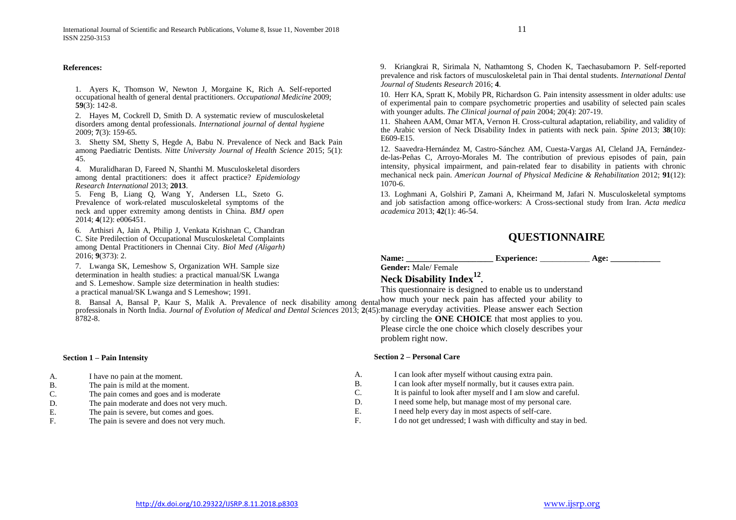#### **References:**

1. Ayers K, Thomson W, Newton J, Morgaine K, Rich A. Self-reported occupational health of general dental practitioners. *Occupational Medicine* 2009; **59**(3): 142-8.

2. Hayes M, Cockrell D, Smith D. A systematic review of musculoskeletal disorders among dental professionals. *International journal of dental hygiene* 2009; **7**(3): 159-65.

3. Shetty SM, Shetty S, Hegde A, Babu N. Prevalence of Neck and Back Pain among Paediatric Dentists. *Nitte University Journal of Health Science* 2015; 5(1): 45.

4. Muralidharan D, Fareed N, Shanthi M. Musculoskeletal disorders among dental practitioners: does it affect practice? *Epidemiology Research International* 2013; **2013**.

5. Feng B, Liang Q, Wang Y, Andersen LL, Szeto G. Prevalence of work-related musculoskeletal symptoms of the neck and upper extremity among dentists in China. *BMJ open* 2014; **4**(12): e006451.

6. Arthisri A, Jain A, Philip J, Venkata Krishnan C, Chandran C. Site Predilection of Occupational Musculoskeletal Complaints among Dental Practitioners in Chennai City. *Biol Med (Aligarh)* 2016; **9**(373): 2.

7. Lwanga SK, Lemeshow S, Organization WH. Sample size determination in health studies: a practical manual/SK Lwanga and S. Lemeshow. Sample size determination in health studies: a practical manual/SK Lwanga and S Lemeshow; 1991.

9. Kriangkrai R, Sirimala N, Nathamtong S, Choden K, Taechasubamorn P. Self-reported prevalence and risk factors of musculoskeletal pain in Thai dental students. *International Dental Journal of Students Research* 2016; **4**.

10. Herr KA, Spratt K, Mobily PR, Richardson G. Pain intensity assessment in older adults: use of experimental pain to compare psychometric properties and usability of selected pain scales with younger adults. *The Clinical journal of pain* 2004; 20(4): 207-19.

11. Shaheen AAM, Omar MTA, Vernon H. Cross-cultural adaptation, reliability, and validity of the Arabic version of Neck Disability Index in patients with neck pain. *Spine* 2013; **38**(10): E609-E15.

12. Saavedra-Hernández M, Castro-Sánchez AM, Cuesta-Vargas AI, Cleland JA, Fernándezde-las-Peñas C, Arroyo-Morales M. The contribution of previous episodes of pain, pain intensity, physical impairment, and pain-related fear to disability in patients with chronic mechanical neck pain. *American Journal of Physical Medicine & Rehabilitation* 2012; **91**(12): 1070-6.

13. Loghmani A, Golshiri P, Zamani A, Kheirmand M, Jafari N. Musculoskeletal symptoms and job satisfaction among office-workers: A Cross-sectional study from Iran. *Acta medica academica* 2013; **42**(1): 46-54.

### **QUESTIONNAIRE**

### **Name: Experience: Age: Age: Age: Age: Age: Age: Age: Age: Age: Age: Age: Age: Age: Age: Age: Age: Age: Age: Age: Age: Age: Age: Age: Age: Age: Age: Age: Age: Age Gender:** Male/ Female

**Neck Disability Index<sup>12</sup> .**

8. Bansal A, Bansal P, Kaur S, Malik A. Prevalence of neck disability among dental professionals in North India. *Journal of Evolution of Medical and Dental Sciences* 2013; **2**(45): manage everyday activities. Please answer each Section 8782-8. This questionnaire is designed to enable us to understand how much your neck pain has affected your ability to by circling the **ONE CHOICE** that most applies to you. Please circle the one choice which closely describes your

**Section 1 – Pain Intensity**

- A. I have no pain at the moment.
- B. The pain is mild at the moment.
- C. The pain comes and goes and is moderate
- D. The pain moderate and does not very much.
- E. The pain is severe, but comes and goes.
- F. The pain is severe and does not very much.

#### **Section 2 – Personal Care**

problem right now.

- A. I can look after myself without causing extra pain.
- B. I can look after myself normally, but it causes extra pain.
- C. It is painful to look after myself and I am slow and careful.
- D. I need some help, but manage most of my personal care.
- E. I need help every day in most aspects of self-care.
- F. I do not get undressed; I wash with difficulty and stay in bed.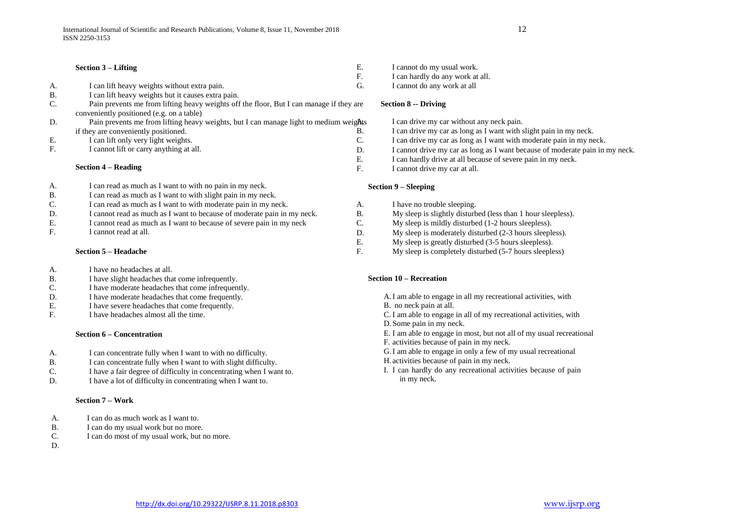#### **Section 3 – Lifting**

- A. I can lift heavy weights without extra pain.
- B. I can lift heavy weights but it causes extra pain.
- C. Pain prevents me from lifting heavy weights off the floor, But I can manage if they are conveniently positioned (e.g. on a table)
- D. Pain prevents me from lifting heavy weights, but I can manage light to medium weights if they are conveniently positioned.
- E. I can lift only very light weights.
- F. I cannot lift or carry anything at all.

#### **Section 4 – Reading**

- A. I can read as much as I want to with no pain in my neck.
- B. I can read as much as I want to with slight pain in my neck.
- C. I can read as much as I want to with moderate pain in my neck.
- D. I cannot read as much as I want to because of moderate pain in my neck.
- E. I cannot read as much as I want to because of severe pain in my neck I cannot read at all
- I cannot read at all.

#### **Section 5 – Headache**

- A. I have no headaches at all.
- B. I have slight headaches that come infrequently.
- C. I have moderate headaches that come infrequently.
- D. I have moderate headaches that come frequently.
- E. I have severe headaches that come frequently.
- F. I have headaches almost all the time.

#### **Section 6 – Concentration**

- A. I can concentrate fully when I want to with no difficulty.
- B. I can concentrate fully when I want to with slight difficulty.
- C. I have a fair degree of difficulty in concentrating when I want to.
- D. I have a lot of difficulty in concentrating when I want to.

#### **Section 7 – Work**

- A. I can do as much work as I want to.
- B. I can do my usual work but no more.
- C. I can do most of my usual work, but no more.
- D.
- E. I cannot do my usual work.
- F. I can hardly do any work at all.
- G. I cannot do any work at all

#### **Section 8 -- Driving**

- I can drive my car without any neck pain.
- B. I can drive my car as long as I want with slight pain in my neck.
- C. I can drive my car as long as I want with moderate pain in my neck.
- D. I cannot drive my car as long as I want because of moderate pain in my neck.
- E. I can hardly drive at all because of severe pain in my neck.
- F. I cannot drive my car at all.

#### **Section 9 – Sleeping**

- A. I have no trouble sleeping.
- B. My sleep is slightly disturbed (less than 1 hour sleepless).
- C. My sleep is mildly disturbed (1-2 hours sleepless).
- D. My sleep is moderately disturbed (2-3 hours sleepless).
- E. My sleep is greatly disturbed (3-5 hours sleepless).
- F. My sleep is completely disturbed (5-7 hours sleepless)

#### **Section 10 – Recreation**

- A.I am able to engage in all my recreational activities, with
- B. no neck pain at all.
- C. I am able to engage in all of my recreational activities, with
- D.Some pain in my neck.
- E. I am able to engage in most, but not all of my usual recreational
- F. activities because of pain in my neck.
- G.I am able to engage in only a few of my usual recreational H. activities because of pain in my neck.
- I. I can hardly do any recreational activities because of pain in my neck.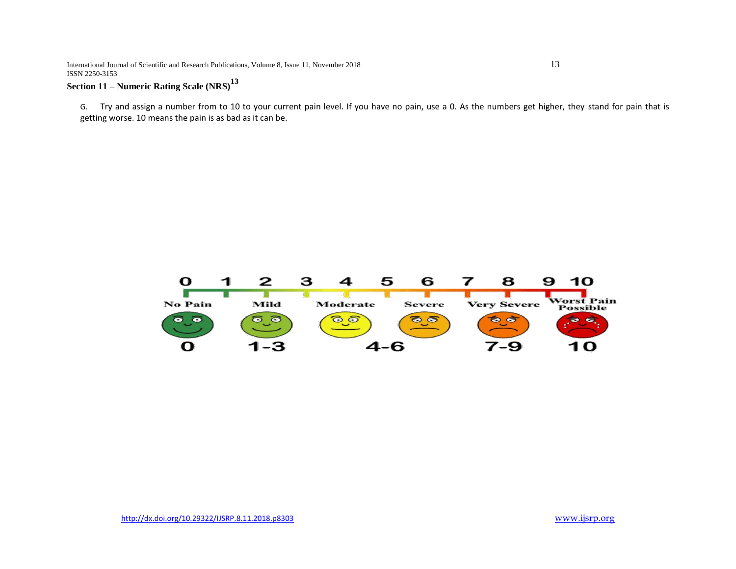International Journal of Scientific and Research Publications, Volume 8, Issue 11, November 2018 13 ISSN 2250-3153

## **Section 11 – Numeric Rating Scale (NRS)<sup>13</sup>**

G. Try and assign a number from to 10 to your current pain level. If you have no pain, use a 0. As the numbers get higher, they stand for pain that is getting worse. 10 means the pain is as bad as it can be.